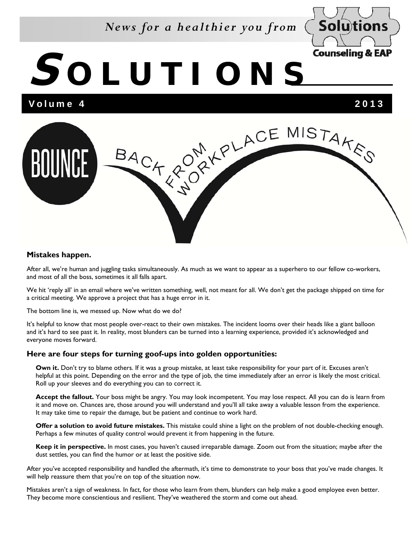### *News for a healthier you from*



# **S OLUTIONS**

Volume 4 2013



#### **Mistakes happen.**

After all, we're human and juggling tasks simultaneously. As much as we want to appear as a superhero to our fellow co-workers, and most of all the boss, sometimes it all falls apart.

We hit 'reply all' in an email where we've written something, well, not meant for all. We don't get the package shipped on time for a critical meeting. We approve a project that has a huge error in it.

The bottom line is, we messed up. Now what do we do?

It's helpful to know that most people over-react to their own mistakes. The incident looms over their heads like a giant balloon and it's hard to see past it. In reality, most blunders can be turned into a learning experience, provided it's acknowledged and everyone moves forward.

#### **Here are four steps for turning goof-ups into golden opportunities:**

**Own it.** Don't try to blame others. If it was a group mistake, at least take responsibility for your part of it. Excuses aren't helpful at this point. Depending on the error and the type of job, the time immediately after an error is likely the most critical. Roll up your sleeves and do everything you can to correct it.

**Accept the fallout.** Your boss might be angry. You may look incompetent. You may lose respect. All you can do is learn from it and move on. Chances are, those around you will understand and you'll all take away a valuable lesson from the experience. It may take time to repair the damage, but be patient and continue to work hard.

**Offer a solution to avoid future mistakes.** This mistake could shine a light on the problem of not double-checking enough. Perhaps a few minutes of quality control would prevent it from happening in the future.

**Keep it in perspective.** In most cases, you haven't caused irreparable damage. Zoom out from the situation; maybe after the dust settles, you can find the humor or at least the positive side.

After you've accepted responsibility and handled the aftermath, it's time to demonstrate to your boss that you've made changes. It will help reassure them that you're on top of the situation now.

Mistakes aren't a sign of weakness. In fact, for those who learn from them, blunders can help make a good employee even better. They become more conscientious and resilient. They've weathered the storm and come out ahead.